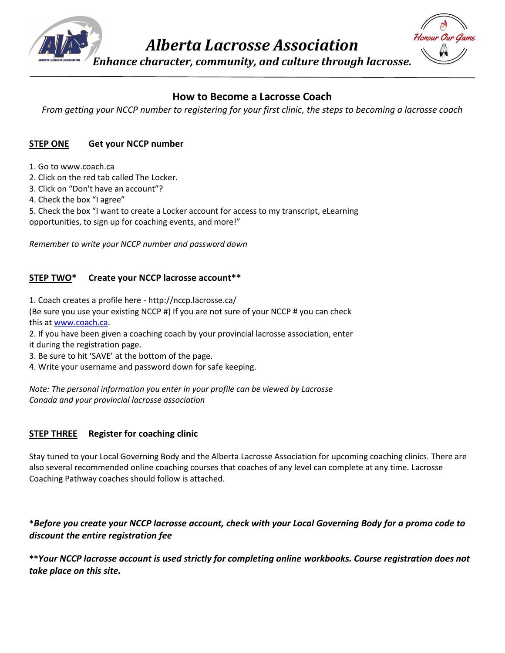

*Alberta Lacrosse Association*

*Enhance character, community, and culture through lacrosse.*



# **How to Become a Lacrosse Coach**

*From getting your NCCP number to registering for your first clinic, the steps to becoming a lacrosse coach*

### **STEP ONE Get your NCCP number**

- 1. Go to www.coach.ca
- 2. Click on the red tab called The Locker.
- 3. Click on "Don't have an account"?
- 4. Check the box "I agree"

5. Check the box "I want to create a Locker account for access to my transcript, eLearning opportunities, to sign up for coaching events, and more!"

*Remember to write your NCCP number and password down*

### **STEP TWO\* Create your NCCP lacrosse account\*\***

1. Coach creates a profile here - http://nccp.lacrosse.ca/ (Be sure you use your existing NCCP #) If you are not sure of your NCCP # you can check this a[t www.coach.ca.](http://www.coach.ca/)

2. If you have been given a coaching coach by your provincial lacrosse association, enter it during the registration page.

- 3. Be sure to hit 'SAVE' at the bottom of the page.
- 4. Write your username and password down for safe keeping.

*Note: The personal information you enter in your profile can be viewed by Lacrosse Canada and your provincial lacrosse association*

### **STEP THREE Register for coaching clinic**

Stay tuned to your Local Governing Body and the Alberta Lacrosse Association for upcoming coaching clinics. There are also several recommended online coaching courses that coaches of any level can complete at any time. Lacrosse Coaching Pathway coaches should follow is attached.

### **\****Before you create your NCCP lacrosse account, check with your Local Governing Body for a promo code to discount the entire registration fee*

**\*\****Your NCCP lacrosse account is used strictly for completing online workbooks. Course registration does not take place on this site.*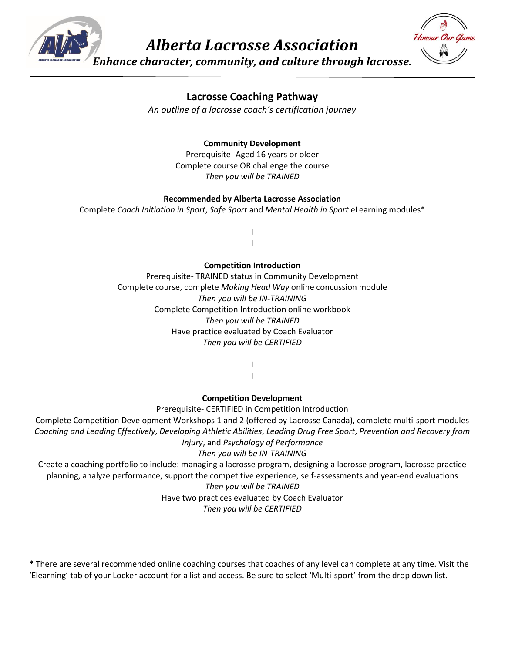

*Alberta Lacrosse Association*



*Enhance character, community, and culture through lacrosse.*

## **Lacrosse Coaching Pathway**

*An outline of a lacrosse coach's certification journey*

### **Community Development**

Prerequisite- Aged 16 years or older Complete course OR challenge the course *Then you will be TRAINED*

#### **Recommended by Alberta Lacrosse Association**

Complete *Coach Initiation in Sport*, *Safe Sport* and *Mental Health in Sport* eLearning modules\*

I I

#### **Competition Introduction**

Prerequisite- TRAINED status in Community Development Complete course, complete *Making Head Way* online concussion module *Then you will be IN-TRAINING* Complete Competition Introduction online workbook *Then you will be TRAINED* Have practice evaluated by Coach Evaluator *Then you will be CERTIFIED*

> I I

#### **Competition Development**

Prerequisite- CERTIFIED in Competition Introduction

Complete Competition Development Workshops 1 and 2 (offered by Lacrosse Canada), complete multi-sport modules *Coaching and Leading Effectively*, *Developing Athletic Abilities*, *Leading Drug Free Sport*, *Prevention and Recovery from Injury*, and *Psychology of Performance*

### *Then you will be IN-TRAINING*

Create a coaching portfolio to include: managing a lacrosse program, designing a lacrosse program, lacrosse practice planning, analyze performance, support the competitive experience, self-assessments and year-end evaluations

#### *Then you will be TRAINED*

Have two practices evaluated by Coach Evaluator

*Then you will be CERTIFIED*

**\*** There are several recommended online coaching courses that coaches of any level can complete at any time. Visit the 'Elearning' tab of your Locker account for a list and access. Be sure to select 'Multi-sport' from the drop down list.